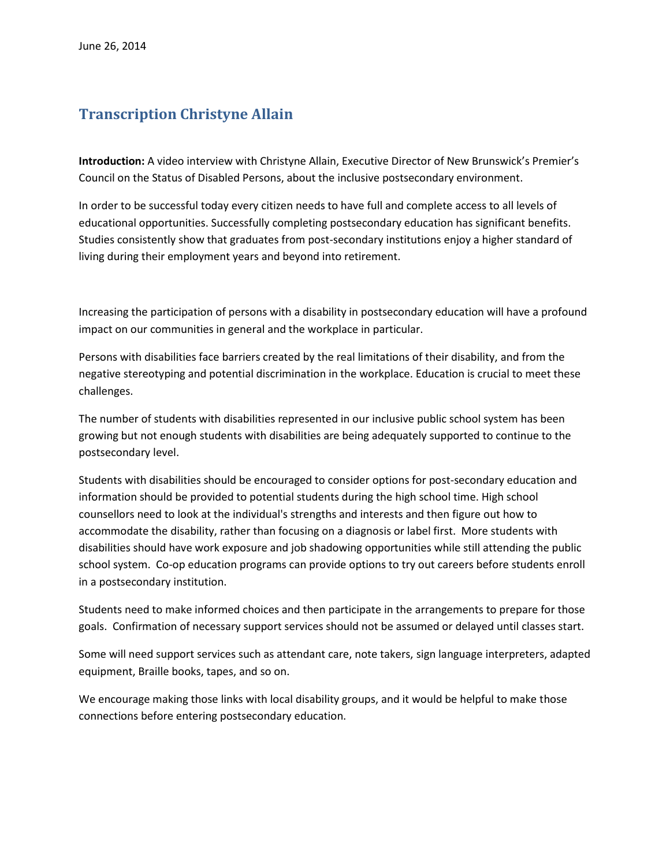## **Transcription Christyne Allain**

**Introduction:** A video interview with Christyne Allain, Executive Director of New Brunswick's Premier's Council on the Status of Disabled Persons, about the inclusive postsecondary environment.

In order to be successful today every citizen needs to have full and complete access to all levels of educational opportunities. Successfully completing postsecondary education has significant benefits. Studies consistently show that graduates from post-secondary institutions enjoy a higher standard of living during their employment years and beyond into retirement.

Increasing the participation of persons with a disability in postsecondary education will have a profound impact on our communities in general and the workplace in particular.

Persons with disabilities face barriers created by the real limitations of their disability, and from the negative stereotyping and potential discrimination in the workplace. Education is crucial to meet these challenges.

The number of students with disabilities represented in our inclusive public school system has been growing but not enough students with disabilities are being adequately supported to continue to the postsecondary level.

Students with disabilities should be encouraged to consider options for post-secondary education and information should be provided to potential students during the high school time. High school counsellors need to look at the individual's strengths and interests and then figure out how to accommodate the disability, rather than focusing on a diagnosis or label first. More students with disabilities should have work exposure and job shadowing opportunities while still attending the public school system. Co-op education programs can provide options to try out careers before students enroll in a postsecondary institution.

Students need to make informed choices and then participate in the arrangements to prepare for those goals. Confirmation of necessary support services should not be assumed or delayed until classes start.

Some will need support services such as attendant care, note takers, sign language interpreters, adapted equipment, Braille books, tapes, and so on.

We encourage making those links with local disability groups, and it would be helpful to make those connections before entering postsecondary education.